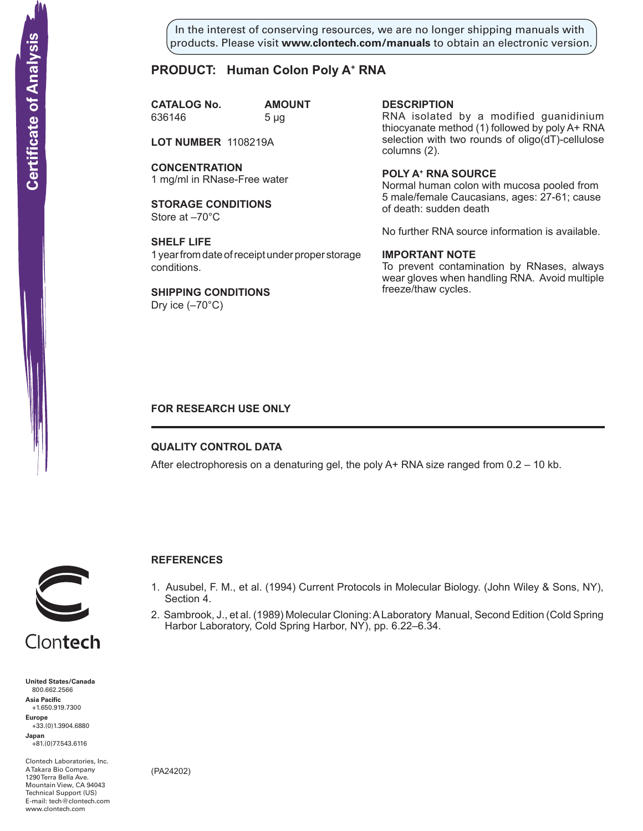In the interest of conserving resources, we are no longer shipping manuals with products. Please visit **www.clontech.com/manuals** to obtain an electronic version.

## **PRODUCT: Human Colon Poly A+ RNA**

**CATALOG No. AMOUNT** 636146 5 µg

**LOT NUMBER** 1108219A

**CONCENTRATION** 1 mg/ml in RNase-Free water

**STORAGE CONDITIONS** Store at –70°C

**SHELF LIFE** 1 year from date of receipt under proper storage conditions.

**SHIPPING CONDITIONS** Dry ice  $(-70^{\circ}C)$ 

**description**

RNA isolated by a modified guanidinium thiocyanate method (1) followed by poly A+ RNA selection with two rounds of oligo(dT)-cellulose columns (2).

**Poly a+ RNA source** Normal human colon with mucosa pooled from 5 male/female Caucasians, ages: 27-61; cause of death: sudden death

No further RNA source information is available.

### **IMPORTANT NOTE**

To prevent contamination by RNases, always wear gloves when handling RNA. Avoid multiple freeze/thaw cycles.

## **FOR RESEARCH USE ONLY**

#### **QUALITY CONTROL DATA**

After electrophoresis on a denaturing gel, the poly  $A+$  RNA size ranged from  $0.2 - 10$  kb.



## **References**

- 1. Ausubel, F. M., et al. (1994) Current Protocols in Molecular Biology. (John Wiley & Sons, NY), Section 4.
- 2. Sambrook, J., et al. (1989) Molecular Cloning: A Laboratory Manual, Second Edition (Cold Spring Harbor Laboratory, Cold Spring Harbor, NY), pp. 6.22–6.34.



Clontech

**United States/Canada** 800.662.2566 **Asia Pacific** +1.650.919.7300 **Europe** +33.(0)1.3904.6880 **Japan** +81.(0)77.543.6116 **Solution Control Control Control Control Control Control Control Control Control Control Control Control Control Control Control Control Control Control Control Control Control Control Control Control Control Control Cont** 

Clontech Laboratories, Inc. A Takara Bio Company 1290 Terra Bella Ave. Mountain View, CA 94043 Technical Support (US) E-mail: tech@clontech.com

(PA24202)